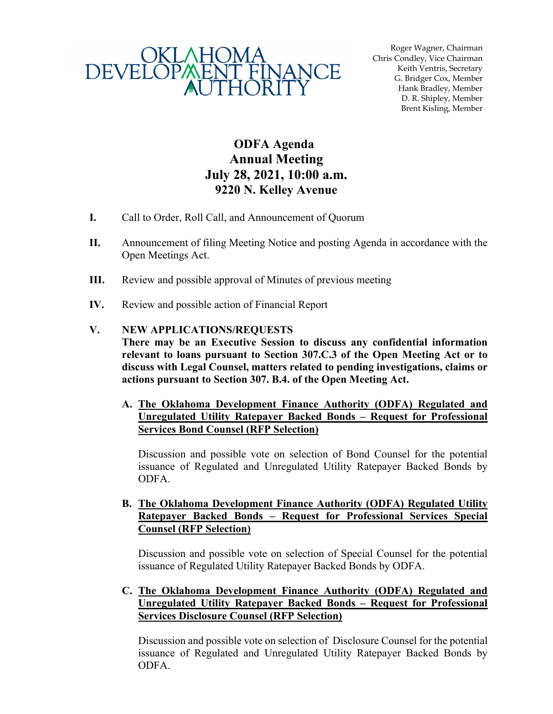

Roger Wagner, Chairman Chris Condley, Vice Chairman Keith Ventris, Secretary G. Bridger Cox, Member Hank Bradley, Member D. R. Shipley, Member Brent Kisling, Member

## **ODFA Agenda Annual Meeting July 28, 2021, 10:00 a.m. 9220 N. Kelley Avenue**

- **I.** Call to Order, Roll Call, and Announcement of Quorum
- **II.** Announcement of filing Meeting Notice and posting Agenda in accordance with the Open Meetings Act.
- **III.** Review and possible approval of Minutes of previous meeting
- **IV.** Review and possible action of Financial Report

## **V. NEW APPLICATIONS/REQUESTS**

- **There may be an Executive Session to discuss any confidential information relevant to loans pursuant to Section 307.C.3 of the Open Meeting Act or to discuss with Legal Counsel, matters related to pending investigations, claims or actions pursuant to Section 307. B.4. of the Open Meeting Act.** 
	- **A. The Oklahoma Development Finance Authority (ODFA) Regulated and Unregulated Utility Ratepayer Backed Bonds – Request for Professional Services Bond Counsel (RFP Selection)**

Discussion and possible vote on selection of Bond Counsel for the potential issuance of Regulated and Unregulated Utility Ratepayer Backed Bonds by ODFA.

**B. The Oklahoma Development Finance Authority (ODFA) Regulated Utility Ratepayer Backed Bonds – Request for Professional Services Special Counsel (RFP Selection)** 

Discussion and possible vote on selection of Special Counsel for the potential issuance of Regulated Utility Ratepayer Backed Bonds by ODFA.

**C. The Oklahoma Development Finance Authority (ODFA) Regulated and Unregulated Utility Ratepayer Backed Bonds – Request for Professional Services Disclosure Counsel (RFP Selection)** 

Discussion and possible vote on selection of Disclosure Counsel for the potential issuance of Regulated and Unregulated Utility Ratepayer Backed Bonds by ODFA.